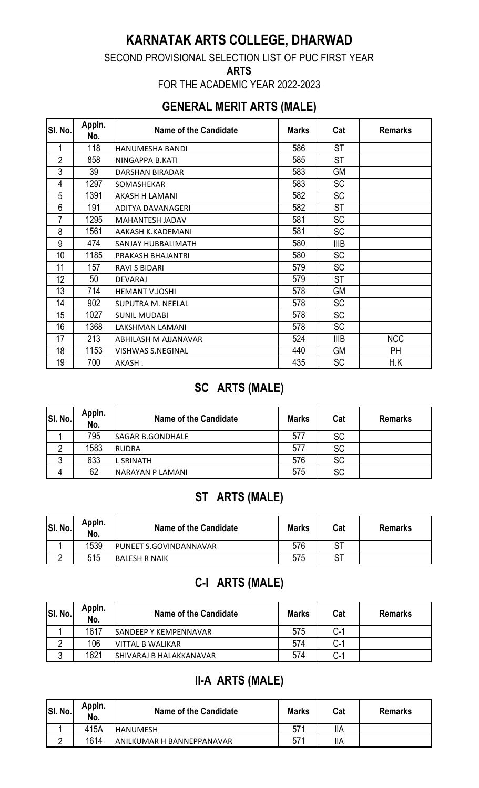# **KARNATAK ARTS COLLEGE, DHARWAD**

SECOND PROVISIONAL SELECTION LIST OF PUC FIRST YEAR

**ARTS** 

FOR THE ACADEMIC YEAR 2022-2023

### **GENERAL MERIT ARTS (MALE)**

| SI. No.        | Appln.<br>No. | <b>Name of the Candidate</b> | <b>Marks</b> | Cat         | <b>Remarks</b> |
|----------------|---------------|------------------------------|--------------|-------------|----------------|
| 1              | 118           | HANUMESHA BANDI              | 586          | <b>ST</b>   |                |
| $\overline{2}$ | 858           | NINGAPPA B.KATI              | 585          | ST          |                |
| 3              | 39            | DARSHAN BIRADAR              | 583          | GM          |                |
| 4              | 1297          | SOMASHEKAR                   | 583          | <b>SC</b>   |                |
| 5              | 1391          | AKASH H LAMANI               | 582          | <b>SC</b>   |                |
| 6              | 191           | <b>ADITYA DAVANAGERI</b>     | 582          | <b>ST</b>   |                |
| 7              | 1295          | <b>MAHANTESH JADAV</b>       | 581          | <b>SC</b>   |                |
| 8              | 1561          | AAKASH K.KADEMANI            | 581          | <b>SC</b>   |                |
| 9              | 474           | <b>SANJAY HUBBALIMATH</b>    | 580          | <b>IIIB</b> |                |
| 10             | 1185          | PRAKASH BHAJANTRI            | 580          | <b>SC</b>   |                |
| 11             | 157           | <b>RAVI S BIDARI</b>         | 579          | <b>SC</b>   |                |
| 12             | 50            | <b>DEVARAJ</b>               | 579          | <b>ST</b>   |                |
| 13             | 714           | <b>HEMANT V.JOSHI</b>        | 578          | <b>GM</b>   |                |
| 14             | 902           | SUPUTRA M. NEELAL            | 578          | <b>SC</b>   |                |
| 15             | 1027          | <b>SUNIL MUDABI</b>          | 578          | <b>SC</b>   |                |
| 16             | 1368          | LAKSHMAN LAMANI              | 578          | <b>SC</b>   |                |
| 17             | 213           | ABHILASH M AJJANAVAR         | 524          | <b>IIIB</b> | <b>NCC</b>     |
| 18             | 1153          | <b>VISHWAS S.NEGINAL</b>     | 440          | GМ          | PH             |
| 19             | 700           | AKASH.                       | 435          | <b>SC</b>   | H.K            |

## **SC ARTS (MALE)**

| SI. No. | Appln.<br>No. | Name of the Candidate   | <b>Marks</b> | Cat       | <b>Remarks</b> |
|---------|---------------|-------------------------|--------------|-----------|----------------|
|         | 795           | <b>SAGAR B.GONDHALE</b> | 577          | <b>SC</b> |                |
|         | 1583          | RUDRA                   | 577          | <b>SC</b> |                |
|         | 633           | <b>L SRINATH</b>        | 576          | <b>SC</b> |                |
| 4       | 62            | INARAYAN P LAMANI       | 575          | <b>SC</b> |                |

# **ST ARTS (MALE)**

| SI. No. | Appln.<br>No. | Name of the Candidate         | <b>Marks</b> | Cat | <b>Remarks</b> |
|---------|---------------|-------------------------------|--------------|-----|----------------|
|         | 1539          | <b>PUNEET S.GOVINDANNAVAR</b> | 576          | cт  |                |
|         | 515           | <b>IBALESH R NAIK</b>         | 575          | cт  |                |

# **C-I ARTS (MALE)**

| SI. No. | Appln.<br>No. | Name of the Candidate         | <b>Marks</b> | Cat            | <b>Remarks</b> |
|---------|---------------|-------------------------------|--------------|----------------|----------------|
|         | 1617          | <b>ISANDEEP Y KEMPENNAVAR</b> | 575          | $C-1$          |                |
|         | 106           | IVITTAL B WALIKAR             | 574          | $\sim$ 1<br>◡╴ |                |
|         | 1621          | SHIVARAJ B HALAKKANAVAR       | 574          | $\sim$ 1<br>◡− |                |

## **II-A ARTS (MALE)**

| SI. No. | Appln.<br>No. | Name of the Candidate      | <b>Marks</b> | Cat | <b>Remarks</b> |
|---------|---------------|----------------------------|--------------|-----|----------------|
|         | 415A          | IHANUMESH                  | 571          | IΙA |                |
|         | 1614          | IANILKUMAR H BANNEPPANAVAR | 571          | IIA |                |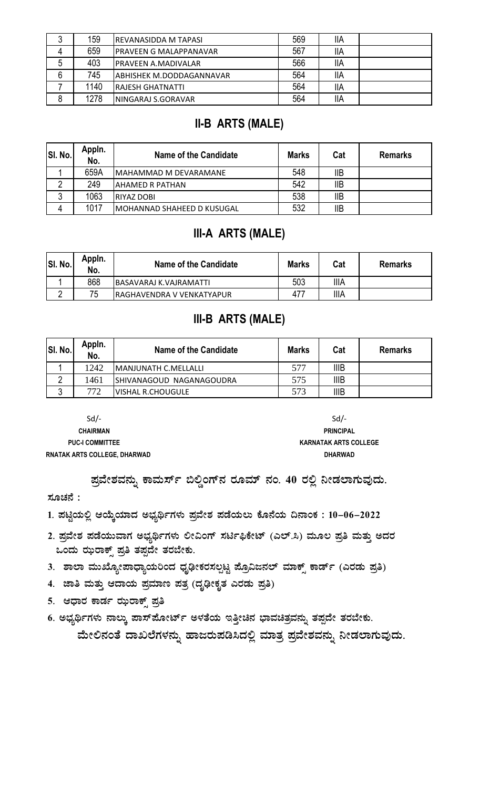| າ<br>J. | 159  | <b>REVANASIDDA M TAPASI</b>    | 569 | <b>IIA</b> |  |
|---------|------|--------------------------------|-----|------------|--|
| 4       | 659  | <b>IPRAVEEN G MALAPPANAVAR</b> | 567 | <b>IIA</b> |  |
| 5       | 403  | <b>PRAVEEN A.MADIVALAR</b>     | 566 | <b>IIA</b> |  |
| 6       | 745  | ABHISHEK M.DODDAGANNAVAR       | 564 | IIA        |  |
|         | 1140 | <b>IRAJESH GHATNATTI</b>       | 564 | <b>IIA</b> |  |
| 8       | 1278 | NINGARAJ S.GORAVAR             | 564 | <b>IIA</b> |  |

### **II-B ARTS (MALE)**

| SI. No. | Appln.<br>No. | Name of the Candidate             | <b>Marks</b> | Cat        | <b>Remarks</b> |
|---------|---------------|-----------------------------------|--------------|------------|----------------|
|         | 659A          | IMAHAMMAD M DEVARAMANE            | 548          | <b>IIB</b> |                |
|         | 249           | IAHAMED R PATHAN                  | 542          | <b>IIB</b> |                |
|         | 1063          | <b>RIYAZ DOBI</b>                 | 538          | IIB        |                |
|         | 1017          | <b>MOHANNAD SHAHEED D KUSUGAL</b> | 532          | <b>IIB</b> |                |

### **III-A ARTS (MALE)**

| SI. No. | Appin.<br>No. | Name of the Candidate         | <b>Marks</b> | Cat         | <b>Remarks</b> |
|---------|---------------|-------------------------------|--------------|-------------|----------------|
|         | 868           | <b>BASAVARAJ K.VAJRAMATTI</b> | 503          | <b>IIIA</b> |                |
|         | 75            | IRAGHAVENDRA V VENKATYAPUR    | 477          | <b>IIIA</b> |                |

### **III-B ARTS (MALE)**

| SI. No. | Appln.<br>No. | Name of the Candidate           | <b>Marks</b> | Cat         | <b>Remarks</b> |
|---------|---------------|---------------------------------|--------------|-------------|----------------|
|         | 1242          | <b>MANJUNATH C.MELLALLI</b>     | 577          | IIIB        |                |
|         | 1461          | <b>SHIVANAGOUD NAGANAGOUDRA</b> | 575          | <b>IIIB</b> |                |
|         | 772           | VISHAL R.CHOUGULE               | 573          | <b>IIIB</b> |                |

 $Sd$ -**CHAIRMAN PUC-I COMMITTEE RNATAK ARTS COLLEGE, DHARWAD** 

 $Sd$ -**PRINCIPAL KARNATAK ARTS COLLEGE DHARWAD** 

ಪ್ರವೇಶವನ್ನು ಕಾಮರ್ಸ್ ಬಿಲ್ಡಿಂಗ್**ನ ರೂಮ್ ನಂ. 40 ರಲ್ಲಿ ನೀಡಲಾಗುವುದು**.

#### ಸೂಚನೆ :

1. ಪಟ್ಟಿಯಲ್ಲಿ ಆಯ್ಕೆಯಾದ ಅಭ್ಯರ್ಥಿಗಳು ಪ್ರವೇಶ ಪಡೆಯಲು ಕೊನೆಯ ದಿನಾಂಕ : 10–06–2022

- 2. ಪ್ರವೇಶ ಪಡೆಯುವಾಗ ಅಭ್ಯರ್ಥಿಗಳು ಲೀವಿಂಗ್ ಸರ್ಟಿಫಿಕೇಟ್ (ಎಲ್.ಸಿ) ಮೂಲ ಪ್ರತಿ ಮತ್ತು ಅದರ ಒಂದು ಝರಾಕ್ಸ್ ಪ್ರತಿ ತಪ್ಪದೇ ತರಬೇಕು.
- 3. ಶಾಲಾ ಮುಖ್ಯೋಪಾಧ್ಯಾಯರಿಂದ ಧೃಢೀಕರಸಲ್ಪಟ್ಟ ಪ್ರೊವಿಜನಲ್ ಮಾಕ್ಸ್ ಕಾರ್ಡ್ (ಎರಡು ಪ್ರತಿ)
- 4. ಜಾತಿ ಮತ್ತು ಆದಾಯ ಪ್ರಮಾಣ ಪತ್ರ (ದೃಢೀಕೃತ ಎರಡು ಪ್ರತಿ)
- 5. ಆಧಾರ ಕಾರ್ಡ ಝರಾಕ್ಸ್ ಪ್ರತಿ
- 6. ಅಭ್ಯರ್ಥಿಗಳು ನಾಲ್ಕು ಪಾಸ್**ಪೋರ್ಟ್ ಅಳತೆಯ ಇತ್ತೀಚಿನ ಭಾವಚಿತ್ರವನ್ನು ತಪ್ಪ**ದೇ ತರಬೇಕು. ಮೇಲಿನಂತೆ ದಾಖಲೆಗಳನ್ನು ಹಾಜರುಪಡಿಸಿದಲ್ಲಿ ಮಾತ್ರ ಪ್ರವೇಶವನ್ನು ನೀಡಲಾಗುವುದು.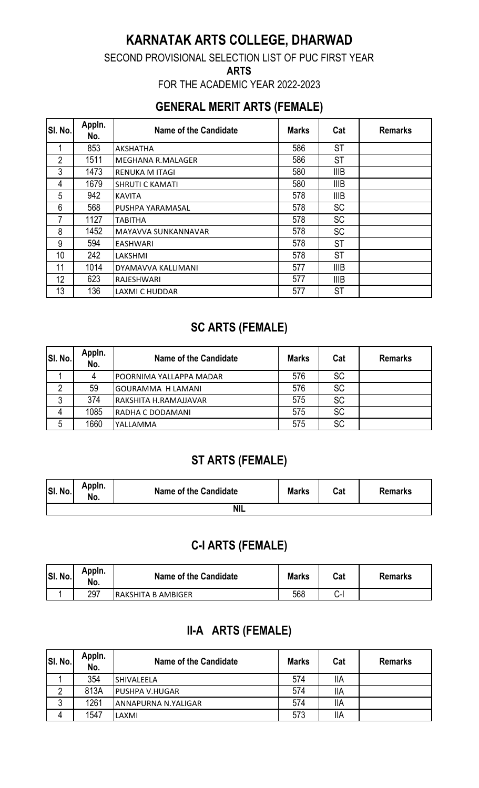# **KARNATAK ARTS COLLEGE, DHARWAD**

SECOND PROVISIONAL SELECTION LIST OF PUC FIRST YEAR

**ARTS** 

FOR THE ACADEMIC YEAR 2022-2023

### **GENERAL MERIT ARTS (FEMALE)**

| SI. No.        | Appln.<br>No. | Name of the Candidate    | <b>Marks</b> | Cat         | <b>Remarks</b> |
|----------------|---------------|--------------------------|--------------|-------------|----------------|
|                | 853           | AKSHATHA                 | 586          | <b>ST</b>   |                |
| $\overline{2}$ | 1511          | <b>MEGHANA R.MALAGER</b> | 586          | ST          |                |
| 3              | 1473          | RENUKA M ITAGI           | 580          | <b>IIIB</b> |                |
| 4              | 1679          | <b>SHRUTI C KAMATI</b>   | 580          | <b>IIIB</b> |                |
| 5              | 942           | <b>KAVITA</b>            | 578          | <b>IIIB</b> |                |
| 6              | 568           | PUSHPA YARAMASAL         | 578          | <b>SC</b>   |                |
| 7              | 1127          | TABITHA                  | 578          | <b>SC</b>   |                |
| 8              | 1452          | MAYAVVA SUNKANNAVAR      | 578          | <b>SC</b>   |                |
| 9              | 594           | EASHWARI                 | 578          | ST          |                |
| 10             | 242           | LAKSHMI                  | 578          | ST          |                |
| 11             | 1014          | DYAMAVVA KALLIMANI       | 577          | <b>IIIB</b> |                |
| 12             | 623           | RAJESHWARI               | 577          | <b>IIIB</b> |                |
| 13             | 136           | <b>LAXMI C HUDDAR</b>    | 577          | ST          |                |

# **SC ARTS (FEMALE)**

| SI. No. | Appln.<br>No. | Name of the Candidate    | <b>Marks</b> | Cat       | <b>Remarks</b> |
|---------|---------------|--------------------------|--------------|-----------|----------------|
|         |               | POORNIMA YALLAPPA MADAR  | 576          | <b>SC</b> |                |
|         | 59            | <b>GOURAMMA H LAMANI</b> | 576          | <b>SC</b> |                |
|         | 374           | RAKSHITA H.RAMAJJAVAR    | 575          | <b>SC</b> |                |
| 4       | 1085          | RADHA C DODAMANI         | 575          | <b>SC</b> |                |
| 5       | 1660          | YALLAMMA                 | 575          | <b>SC</b> |                |

# **ST ARTS (FEMALE)**

| SI. No. | Appin.<br>NO. | Name of the Candidate | <b>Marks</b> | Cat | <b>Remarks</b> |
|---------|---------------|-----------------------|--------------|-----|----------------|
|         |               | NIL                   |              |     |                |

### **C-I ARTS (FEMALE)**

| SI. No. | Appln.<br>No. | Name of the Candidate | <b>Marks</b> | Cat    | <b>Remarks</b> |
|---------|---------------|-----------------------|--------------|--------|----------------|
|         | 297           | IRAKSHITA B AMBIGER   | 568          | $\sim$ |                |

# **II-A ARTS (FEMALE)**

| SI. No. | Appln.<br>No. | Name of the Candidate | <b>Marks</b> | Cat        | <b>Remarks</b> |
|---------|---------------|-----------------------|--------------|------------|----------------|
|         | 354           | <b>SHIVALEELA</b>     | 574          | IIA        |                |
|         | 813A          | <b>PUSHPA V.HUGAR</b> | 574          | <b>IIA</b> |                |
|         | 1261          | ANNAPURNA N.YALIGAR   | 574          | <b>IIA</b> |                |
| 4       | 1547          | LAXMI                 | 573          | <b>IIA</b> |                |